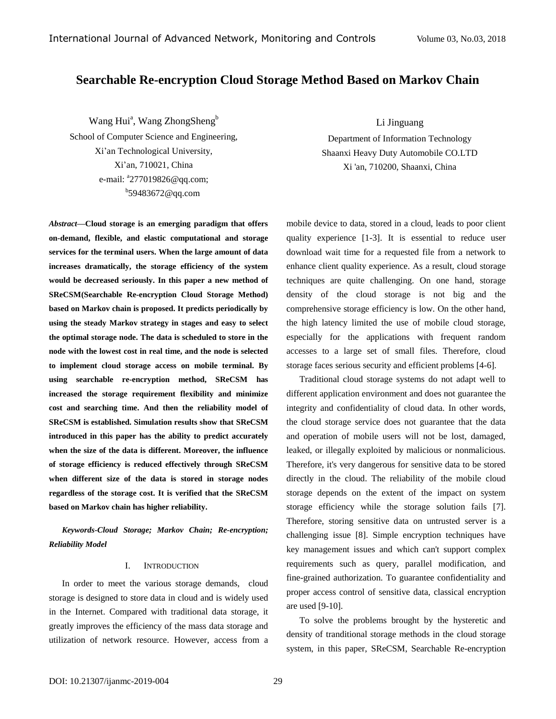# **Searchable Re-encryption Cloud Storage Method Based on Markov Chain**

Wang Hui<sup>a</sup>, Wang ZhongSheng<sup>b</sup>

School of Computer Science and Engineering, Xi'an Technological University, Xi'an, 710021, China e-mail: <sup>a</sup>27701982[6@qq.com;](mailto:a.author@email.com) b 59483672@qq.com

*Abstract—***Cloud storage is an emerging paradigm that offers on-demand, flexible, and elastic computational and storage services for the terminal users. When the large amount of data increases dramatically, the storage efficiency of the system would be decreased seriously. In this paper a new method of SReCSM(Searchable Re-encryption Cloud Storage Method) based on Markov chain is proposed. It predicts periodically by using the steady Markov strategy in stages and easy to select the optimal storage node. The data is scheduled to store in the node with the lowest cost in real time, and the node is selected to implement cloud storage access on mobile terminal. By using searchable re-encryption method, SReCSM has increased the storage requirement flexibility and minimize cost and searching time. And then the reliability model of SReCSM is established. Simulation results show that SReCSM introduced in this paper has the ability to predict accurately when the size of the data is different. Moreover, the influence of storage efficiency is reduced effectively through SReCSM when different size of the data is stored in storage nodes regardless of the storage cost. It is verified that the SReCSM based on Markov chain has higher reliability.**

*Keywords-Cloud Storage; Markov Chain; Re-encryption; Reliability Model*

### I. INTRODUCTION

In order to meet the various storage demands, cloud storage is designed to store data in cloud and is widely used in the Internet. Compared with traditional data storage, it greatly improves the efficiency of the mass data storage and utilization of network resource. However, access from a Li Jinguang

Department of Information Technology Shaanxi Heavy Duty Automobile CO.LTD Xi 'an, 710200, Shaanxi, China

mobile device to data, stored in a cloud, leads to poor client quality experience [1-3]. It is essential to reduce user download wait time for a requested file from a network to enhance client quality experience. As a result, cloud storage techniques are quite challenging. On one hand, storage density of the cloud storage is not big and the comprehensive storage efficiency is low. On the other hand, the high latency limited the use of mobile cloud storage, especially for the applications with frequent random accesses to a large set of small files. Therefore, cloud storage faces serious security and efficient problems [4-6].

Traditional cloud storage systems do not adapt well to different application environment and does not guarantee the integrity and confidentiality of cloud data. In other words, the cloud storage service does not guarantee that the data and operation of mobile users will not be lost, damaged, leaked, or illegally exploited by malicious or nonmalicious. Therefore, it's very dangerous for sensitive data to be stored directly in the cloud. The reliability of the mobile cloud storage depends on the extent of the impact on system storage efficiency while the storage solution fails [7]. Therefore, storing sensitive data on untrusted server is a challenging issue [8]. Simple encryption techniques have key management issues and which can't support complex requirements such as query, parallel modification, and fine-grained authorization. To guarantee confidentiality and proper access control of sensitive data, classical encryption are used [9-10].

To solve the problems brought by the hysteretic and density of tranditional storage methods in the cloud storage system, in this paper, SReCSM, Searchable Re-encryption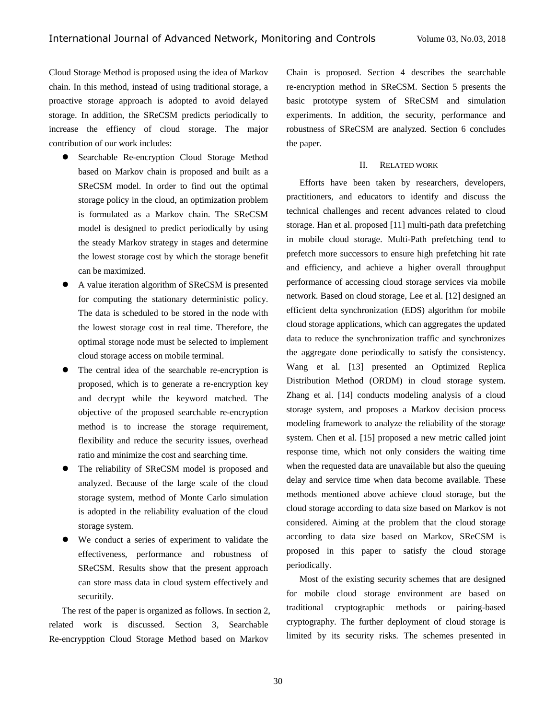Cloud Storage Method is proposed using the idea of Markov chain. In this method, instead of using traditional storage, a proactive storage approach is adopted to avoid delayed storage. In addition, the SReCSM predicts periodically to increase the effiency of cloud storage. The major contribution of our work includes:

- Searchable Re-encryption Cloud Storage Method based on Markov chain is proposed and built as a SReCSM model. In order to find out the optimal storage policy in the cloud, an optimization problem is formulated as a Markov chain. The SReCSM model is designed to predict periodically by using the steady Markov strategy in stages and determine the lowest storage cost by which the storage benefit can be maximized.
- A value iteration algorithm of SReCSM is presented for computing the stationary deterministic policy. The data is scheduled to be stored in the node with the lowest storage cost in real time. Therefore, the optimal storage node must be selected to implement cloud storage access on mobile terminal.
- The central idea of the searchable re-encryption is proposed, which is to generate a re-encryption key and decrypt while the keyword matched. The objective of the proposed searchable re-encryption method is to increase the storage requirement, flexibility and reduce the security issues, overhead ratio and minimize the cost and searching time.
- The reliability of SReCSM model is proposed and analyzed. Because of the large scale of the cloud storage system, method of Monte Carlo simulation is adopted in the reliability evaluation of the cloud storage system.
- We conduct a series of experiment to validate the effectiveness, performance and robustness of SReCSM. Results show that the present approach can store mass data in cloud system effectively and securitily.

The rest of the paper is organized as follows. In section 2, related work is discussed. Section 3, Searchable Re-encrypption Cloud Storage Method based on Markov

Chain is proposed. Section 4 describes the searchable re-encryption method in SReCSM. Section 5 presents the basic prototype system of SReCSM and simulation experiments. In addition, the security, performance and robustness of SReCSM are analyzed. Section 6 concludes the paper.

## II. RELATED WORK

Efforts have been taken by researchers, developers, practitioners, and educators to identify and discuss the technical challenges and recent advances related to cloud storage. Han et al. proposed [11] multi-path data prefetching in mobile cloud storage. Multi-Path prefetching tend to prefetch more successors to ensure high prefetching hit rate and efficiency, and achieve a higher overall throughput performance of accessing cloud storage services via mobile network. Based on cloud storage, Lee et al. [12] designed an efficient delta synchronization (EDS) algorithm for mobile cloud storage applications, which can aggregates the updated data to reduce the synchronization traffic and synchronizes the aggregate done periodically to satisfy the consistency. Wang et al. [13] presented an Optimized Replica Distribution Method (ORDM) in cloud storage system. Zhang et al. [14] conducts modeling analysis of a cloud storage system, and proposes a Markov decision process modeling framework to analyze the reliability of the storage system. Chen et al. [15] proposed a new metric called joint response time, which not only considers the waiting time when the requested data are unavailable but also the queuing delay and service time when data become available. These methods mentioned above achieve cloud storage, but the cloud storage according to data size based on Markov is not considered. Aiming at the problem that the cloud storage according to data size based on Markov, SReCSM is proposed in this paper to satisfy the cloud storage periodically.

Most of the existing security schemes that are designed for mobile cloud storage environment are based on traditional cryptographic methods or pairing-based cryptography. The further deployment of cloud storage is limited by its security risks. The schemes presented in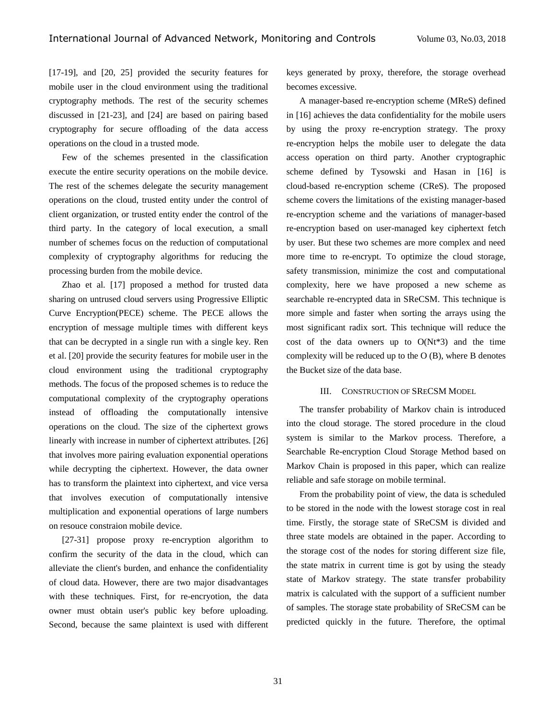[17-19], and [20, 25] provided the security features for mobile user in the cloud environment using the traditional cryptography methods. The rest of the security schemes discussed in [21-23], and [24] are based on pairing based cryptography for secure offloading of the data access operations on the cloud in a trusted mode.

Few of the schemes presented in the classification execute the entire security operations on the mobile device. The rest of the schemes delegate the security management operations on the cloud, trusted entity under the control of client organization, or trusted entity ender the control of the third party. In the category of local execution, a small number of schemes focus on the reduction of computational complexity of cryptography algorithms for reducing the processing burden from the mobile device.

Zhao et al. [17] proposed a method for trusted data sharing on untrused cloud servers using Progressive Elliptic Curve Encryption(PECE) scheme. The PECE allows the encryption of message multiple times with different keys that can be decrypted in a single run with a single key. Ren et al. [20] provide the security features for mobile user in the cloud environment using the traditional cryptography methods. The focus of the proposed schemes is to reduce the computational complexity of the cryptography operations instead of offloading the computationally intensive operations on the cloud. The size of the ciphertext grows linearly with increase in number of ciphertext attributes. [26] that involves more pairing evaluation exponential operations while decrypting the ciphertext. However, the data owner has to transform the plaintext into ciphertext, and vice versa that involves execution of computationally intensive multiplication and exponential operations of large numbers on resouce constraion mobile device.

[27-31] propose proxy re-encryption algorithm to confirm the security of the data in the cloud, which can alleviate the client's burden, and enhance the confidentiality of cloud data. However, there are two major disadvantages with these techniques. First, for re-encryotion, the data owner must obtain user's public key before uploading. Second, because the same plaintext is used with different keys generated by proxy, therefore, the storage overhead becomes excessive.

A manager-based re-encryption scheme (MReS) defined in [16] achieves the data confidentiality for the mobile users by using the proxy re-encryption strategy. The proxy re-encryption helps the mobile user to delegate the data access operation on third party. Another cryptographic scheme defined by Tysowski and Hasan in [16] is cloud-based re-encryption scheme (CReS). The proposed scheme covers the limitations of the existing manager-based re-encryption scheme and the variations of manager-based re-encryption based on user-managed key ciphertext fetch by user. But these two schemes are more complex and need more time to re-encrypt. To optimize the cloud storage, safety transmission, minimize the cost and computational complexity, here we have proposed a new scheme as searchable re-encrypted data in SReCSM. This technique is more simple and faster when sorting the arrays using the most significant radix sort. This technique will reduce the cost of the data owners up to  $O(Nt*3)$  and the time complexity will be reduced up to the O (B), where B denotes the Bucket size of the data base.

### III. CONSTRUCTION OF SRECSM MODEL

The transfer probability of Markov chain is introduced into the cloud storage. The stored procedure in the cloud system is similar to the Markov process. Therefore, a Searchable Re-encryption Cloud Storage Method based on Markov Chain is proposed in this paper, which can realize reliable and safe storage on mobile terminal.

From the probability point of view, the data is scheduled to be stored in the node with the lowest storage cost in real time. Firstly, the storage state of SReCSM is divided and three state models are obtained in the paper. According to the storage cost of the nodes for storing different size file, the state matrix in current time is got by using the steady state of Markov strategy. The state transfer probability matrix is calculated with the support of a sufficient number of samples. The storage state probability of SReCSM can be predicted quickly in the future. Therefore, the optimal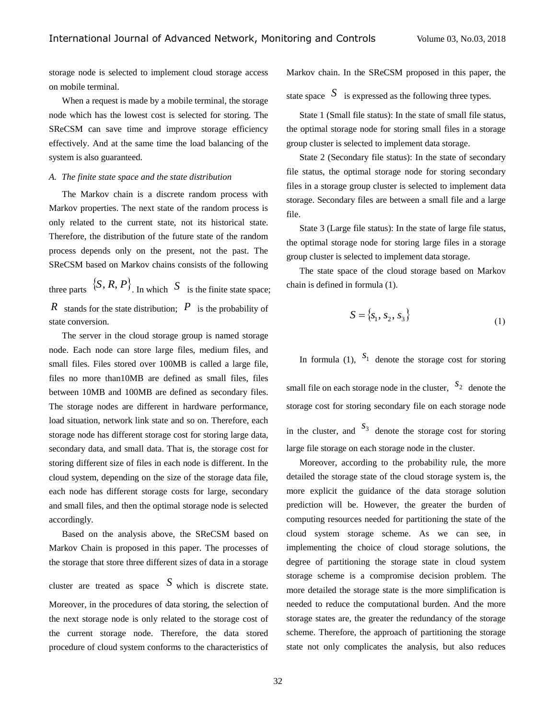storage node is selected to implement cloud storage access on mobile terminal.

When a request is made by a mobile terminal, the storage node which has the lowest cost is selected for storing. The SReCSM can save time and improve storage efficiency effectively. And at the same time the load balancing of the system is also guaranteed.

### *A. The finite state space and the state distribution*

The Markov chain is a discrete random process with Markov properties. The next state of the random process is only related to the current state, not its historical state. Therefore, the distribution of the future state of the random process depends only on the present, not the past. The SReCSM based on Markov chains consists of the following

three parts  $\{S, R, P\}$ . In which S is the finite state space; *R* stands for the state distribution; *P* is the probability of state conversion.

The server in the cloud storage group is named storage node. Each node can store large files, medium files, and small files. Files stored over 100MB is called a large file, files no more than10MB are defined as small files, files between 10MB and 100MB are defined as secondary files. The storage nodes are different in hardware performance, load situation, network link state and so on. Therefore, each storage node has different storage cost for storing large data, secondary data, and small data. That is, the storage cost for storing different size of files in each node is different. In the cloud system, depending on the size of the storage data file, each node has different storage costs for large, secondary and small files, and then the optimal storage node is selected accordingly.

Based on the analysis above, the SReCSM based on Markov Chain is proposed in this paper. The processes of the storage that store three different sizes of data in a storage cluster are treated as space  $S$  which is discrete state. Moreover, in the procedures of data storing, the selection of the next storage node is only related to the storage cost of the current storage node. Therefore, the data stored procedure of cloud system conforms to the characteristics of Markov chain. In the SReCSM proposed in this paper, the

state space  $S$  is expressed as the following three types.

State 1 (Small file status): In the state of small file status, the optimal storage node for storing small files in a storage group cluster is selected to implement data storage.

State 2 (Secondary file status): In the state of secondary file status, the optimal storage node for storing secondary files in a storage group cluster is selected to implement data storage. Secondary files are between a small file and a large file.

State 3 (Large file status): In the state of large file status, the optimal storage node for storing large files in a storage group cluster is selected to implement data storage.

The state space of the cloud storage based on Markov chain is defined in formula (1).

$$
S = \{s_1, s_2, s_3\}
$$
 (1)

In formula (1),  $S_1$  denote the storage cost for storing small file on each storage node in the cluster,  $s_2$  denote the storage cost for storing secondary file on each storage node in the cluster, and  $S_3$  denote the storage cost for storing large file storage on each storage node in the cluster.

Moreover, according to the probability rule, the more detailed the storage state of the cloud storage system is, the more explicit the guidance of the data storage solution prediction will be. However, the greater the burden of computing resources needed for partitioning the state of the cloud system storage scheme. As we can see, in implementing the choice of cloud storage solutions, the degree of partitioning the storage state in cloud system storage scheme is a compromise decision problem. The more detailed the storage state is the more simplification is needed to reduce the computational burden. And the more storage states are, the greater the redundancy of the storage scheme. Therefore, the approach of partitioning the storage state not only complicates the analysis, but also reduces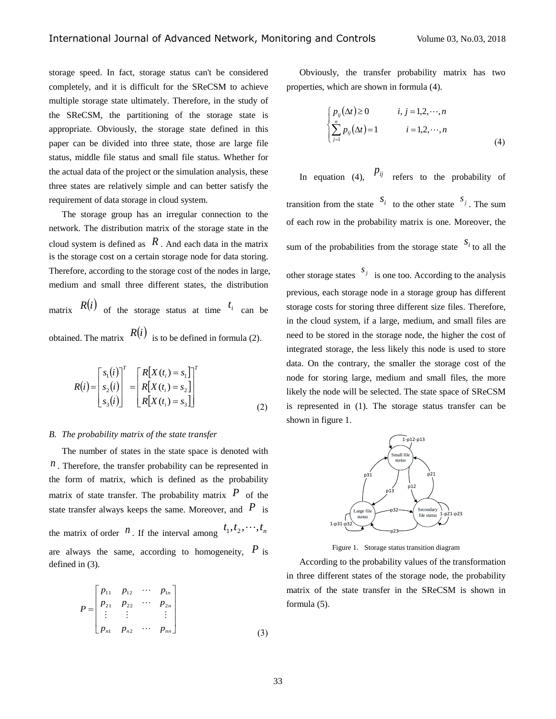storage speed. In fact, storage status can't be considered completely, and it is difficult for the SReCSM to achieve multiple storage state ultimately. Therefore, in the study of the SReCSM, the partitioning of the storage state is appropriate. Obviously, the storage state defined in this paper can be divided into three state, those are large file status, middle file status and small file status. Whether for the actual data of the project or the simulation analysis, these three states are relatively simple and can better satisfy the requirement of data storage in cloud system.

The storage group has an irregular connection to the network. The distribution matrix of the storage state in the cloud system is defined as  $R$ . And each data in the matrix is the storage cost on a certain storage node for data storing. Therefore, according to the storage cost of the nodes in large, medium and small three different states, the distribution

matrix  $R(i)$  of the storage status at time  $t_i$  can be obtained. The matrix  $R(i)$  is to be defined in formula (2).

$$
R(i) = \begin{bmatrix} s_1(i) \\ s_2(i) \\ s_3(i) \end{bmatrix}^T = \begin{bmatrix} R[X(t_i) = s_1] \\ R[X(t_i) = s_2] \\ R[X(t_i) = s_3] \end{bmatrix}^T
$$
\n(2)

#### *B. The probability matrix of the state transfer*

The number of states in the state space is denoted with  $n$ . Therefore, the transfer probability can be represented in the form of matrix, which is defined as the probability matrix of state transfer. The probability matrix  $P$  of the state transfer always keeps the same. Moreover, and  $\overline{P}$  is the matrix of order  $n$ . If the interval among  $t_1, t_2, \dots, t_n$ are always the same, according to homogeneity,  $P$  is defined in (3).

$$
P = \begin{bmatrix} p_{11} & p_{12} & \cdots & p_{1n} \\ p_{21} & p_{22} & \cdots & p_{2n} \\ \vdots & \vdots & & \vdots \\ p_{n1} & p_{n2} & \cdots & p_{nn} \end{bmatrix}
$$
 (3)

Obviously, the transfer probability matrix has two properties, which are shown in formula (4).

$$
\begin{cases}\np_{ij}(\Delta t) \ge 0 & i, j = 1, 2, \cdots, n \\
\sum_{j=1}^{n} p_{ij}(\Delta t) = 1 & i = 1, 2, \cdots, n\n\end{cases}
$$
\n(4)

In equation (4),  $P_{ij}$  refers to the probability of transition from the state  $s_i$  to the other state  $s_j$ . The sum of each row in the probability matrix is one. Moreover, the sum of the probabilities from the storage state  $S_i$  to all the

other storage states  $s_j$  is one too. According to the analysis previous, each storage node in a storage group has different storage costs for storing three different size files. Therefore, in the cloud system, if a large, medium, and small files are need to be stored in the storage node, the higher the cost of integrated storage, the less likely this node is used to store data. On the contrary, the smaller the storage cost of the node for storing large, medium and small files, the more likely the node will be selected. The state space of SReCSM is represented in (1). The storage status transfer can be shown in figure 1.



Figure 1. Storage status transition diagram

According to the probability values of the transformation in three different states of the storage node, the probability matrix of the state transfer in the SReCSM is shown in formula (5).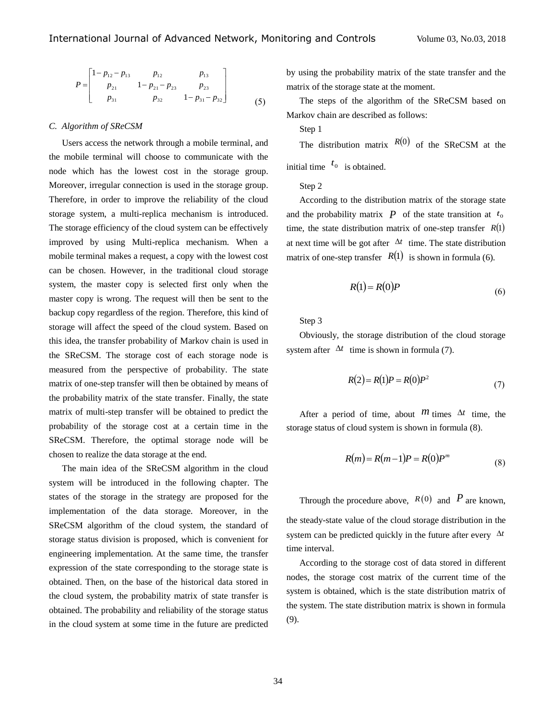$$
P = \begin{bmatrix} 1 - p_{12} - p_{13} & p_{12} & p_{13} \\ p_{21} & 1 - p_{21} - p_{23} & p_{23} \\ p_{31} & p_{32} & 1 - p_{31} - p_{32} \end{bmatrix}
$$
 (5)

#### *C. Algorithm of SReCSM*

Users access the network through a mobile terminal, and the mobile terminal will choose to communicate with the node which has the lowest cost in the storage group. Moreover, irregular connection is used in the storage group. Therefore, in order to improve the reliability of the cloud storage system, a multi-replica mechanism is introduced. The storage efficiency of the cloud system can be effectively improved by using Multi-replica mechanism. When a mobile terminal makes a request, a copy with the lowest cost can be chosen. However, in the traditional cloud storage system, the master copy is selected first only when the master copy is wrong. The request will then be sent to the backup copy regardless of the region. Therefore, this kind of storage will affect the speed of the cloud system. Based on this idea, the transfer probability of Markov chain is used in the SReCSM. The storage cost of each storage node is measured from the perspective of probability. The state matrix of one-step transfer will then be obtained by means of the probability matrix of the state transfer. Finally, the state matrix of multi-step transfer will be obtained to predict the probability of the storage cost at a certain time in the SReCSM. Therefore, the optimal storage node will be chosen to realize the data storage at the end.

The main idea of the SReCSM algorithm in the cloud system will be introduced in the following chapter. The states of the storage in the strategy are proposed for the implementation of the data storage. Moreover, in the SReCSM algorithm of the cloud system, the standard of storage status division is proposed, which is convenient for engineering implementation. At the same time, the transfer expression of the state corresponding to the storage state is obtained. Then, on the base of the historical data stored in the cloud system, the probability matrix of state transfer is obtained. The probability and reliability of the storage status in the cloud system at some time in the future are predicted by using the probability matrix of the state transfer and the matrix of the storage state at the moment.

The steps of the algorithm of the SReCSM based on Markov chain are described as follows:

Step 1

The distribution matrix  $R(0)$  of the SReCSM at the

initial time  $t_0$  is obtained.

Step 2

According to the distribution matrix of the storage state and the probability matrix  $P$  of the state transition at  $t_0$ time, the state distribution matrix of one-step transfer  $R(1)$ at next time will be got after  $\Delta t$  time. The state distribution matrix of one-step transfer  $R(1)$  is shown in formula (6).

$$
R(1) = R(0)P\tag{6}
$$

Step 3

Obviously, the storage distribution of the cloud storage system after  $\Delta t$  time is shown in formula (7).

$$
R(2) = R(1)P = R(0)P2
$$
 (7)

After a period of time, about  $m$  times  $\Delta t$  time, the storage status of cloud system is shown in formula (8).

$$
R(m) = R(m-1)P = R(0)Pm
$$
\n(8)

Through the procedure above,  $R(0)$  and P are known, the steady-state value of the cloud storage distribution in the system can be predicted quickly in the future after every  $\Delta t$ time interval.

According to the storage cost of data stored in different nodes, the storage cost matrix of the current time of the system is obtained, which is the state distribution matrix of the system. The state distribution matrix is shown in formula (9).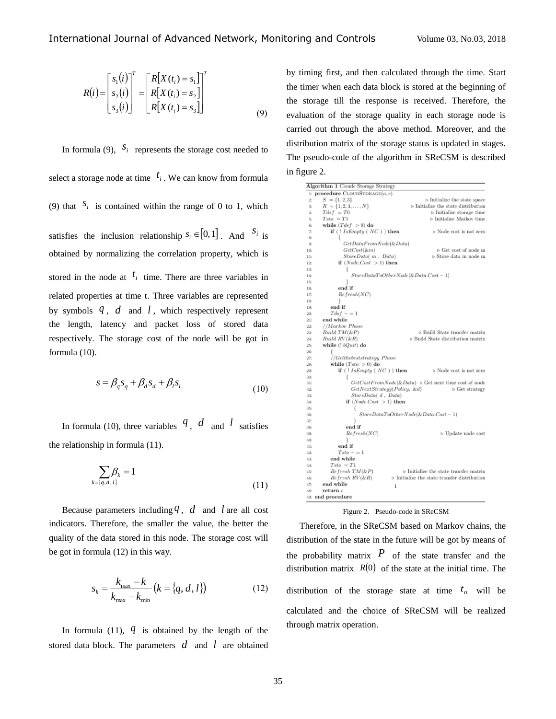$$
R(i) = \begin{bmatrix} s_1(i) \\ s_2(i) \\ s_3(i) \end{bmatrix}^T = \begin{bmatrix} R[X(t_i) = s_1] \\ R[X(t_i) = s_2] \\ R[X(t_i) = s_3] \end{bmatrix}^T
$$
\n(9)

In formula (9),  $S_i$  represents the storage cost needed to select a storage node at time  $t_i$ . We can know from formula (9) that  $S_i$  is contained within the range of 0 to 1, which satisfies the inclusion relationship  $s_i \in [0,1]$ . And  $s_i$  is obtained by normalizing the correlation property, which is stored in the node at  $t_i$  time. There are three variables in related properties at time t. Three variables are represented by symbols  $q$ ,  $d$  and  $l$ , which respectively represent the length, latency and packet loss of stored data respectively. The storage cost of the node will be got in formula (10).

$$
s = \beta_q s_q + \beta_d s_d + \beta_l s_l \tag{10}
$$

In formula (10), three variables  $q$ ,  $d$  and  $l$  satisfies the relationship in formula (11).

$$
\sum_{k=\{q,d,l\}} \beta_k = 1 \tag{11}
$$

Because parameters including  $q$ ,  $d$  and  $l$  are all cost indicators. Therefore, the smaller the value, the better the quality of the data stored in this node. The storage cost will be got in formula (12) in this way.

$$
s_k = \frac{k_{\text{max}} - k}{k_{\text{max}} - k_{\text{min}}} (k = \{q, d, l\})
$$
 (12)

In formula  $(11)$ ,  $q$  is obtained by the length of the stored data block. The parameters  $d$  and  $l$  are obtained by timing first, and then calculated through the time. Start the timer when each data block is stored at the beginning of the storage till the response is received. Therefore, the evaluation of the storage quality in each storage node is carried out through the above method. Moreover, and the distribution matrix of the storage status is updated in stages. The pseudo-code of the algorithm in SReCSM is described in figure 2.

| Algorithm 1 Cloude Storage Strategy      |                                                             |
|------------------------------------------|-------------------------------------------------------------|
| 1: procedure CLOUDSTORAGE(a, c)          |                                                             |
| $S = \{1, 2, 3\}$<br>2:                  | $\triangleright$ Initialize the state space                 |
| $R = \{1, 2, 3, \ldots, N\}$<br>3:       | $\triangleright$ Initialize the state distribution          |
| $Tdsf = T0$<br>4:                        | $\triangleright$ Initialize storage time                    |
| $Tsto = T1$<br>5:                        | $\triangleright$ Initialize Markov time                     |
| while $(Tdsf > 0)$ do<br>6:              |                                                             |
| if $( ! IsEmpty ( NC ) )$ then<br>7:     | $\triangleright$ Node cost is not zero                      |
| 8:                                       |                                                             |
| GetDataFromNode(&Data)<br>9:             |                                                             |
| $GetCost(\& m)$<br>10:                   | $\triangleright$ Get cost of node m                         |
| StoreData(m. Data)<br>11:                | > Store data in node m                                      |
| if $(Node. Cost > 1)$ then<br>12:        |                                                             |
| 13:<br>Ł                                 |                                                             |
| 14:                                      | $StoreDataToOtherNode(&\&Data.Cost-1)$                      |
| 15:                                      |                                                             |
| end if<br>16:                            |                                                             |
| Refresh(NC)<br>17:                       |                                                             |
| 18:                                      |                                                             |
| end if<br>19:                            |                                                             |
| $Tdsf - = 1$<br>20:                      |                                                             |
| end while<br>21:                         |                                                             |
| //Markov Phase<br>22:                    |                                                             |
| Build TM(kP)<br>23:                      | > Build State transfer matrix                               |
| Build RV (&R)<br>24:                     | > Build State distribution matrix                           |
| while (! bQuit) do<br>25:                |                                                             |
| 26:<br>//Getthebeststrategy Phase<br>27: |                                                             |
| while $(Tsto > 0)$ do<br>28:             |                                                             |
| if $(11sEmpty(NC))$ then<br>29:          | $\triangleright$ Node cost is not zero                      |
| 30:<br>Ł                                 |                                                             |
| 31:                                      | $GetCostFromNode(k:Data) > Get next time cost of node$      |
| GetNextStrategy(Policy, &d)<br>32:       | $\triangleright$ Get strategy                               |
| StoreData(d. Data)<br>33:                |                                                             |
| if $(NodeCost > 1)$ then<br>34:          |                                                             |
| 35:                                      |                                                             |
| 36:                                      | $StoreDataToOtherNode(&LData.Cost-1)$                       |
| ļ<br>37:                                 |                                                             |
| end if<br>38:                            |                                                             |
| Refresh(NC)<br>39:                       | $\triangleright$ Update node cost                           |
| J.<br>40:                                |                                                             |
| end if<br>41:                            |                                                             |
| $Tsto - = 1$<br>42:                      |                                                             |
| end while<br>43:                         |                                                             |
| $Tsto = T1$<br>44:                       |                                                             |
| $Refresh$ $TM$ $(kP)$<br>45:             | $\triangleright$ Initialize the state transfer matrix       |
| Refresh RV(&R)<br>46:                    | $\triangleright$ Initialize the state transfer distribution |
| end while<br>47:<br>$\mathbf{1}$         |                                                             |
| return c<br>48:                          |                                                             |
| 49: end procedure                        |                                                             |

|  | Figure 2. Pseudo-code in SReCSM |  |  |
|--|---------------------------------|--|--|
|--|---------------------------------|--|--|

Therefore, in the SReCSM based on Markov chains, the distribution of the state in the future will be got by means of the probability matrix  $P$  of the state transfer and the distribution matrix  $R(0)$  of the state at the initial time. The distribution of the storage state at time  $t_n$  will be calculated and the choice of SReCSM will be realized through matrix operation.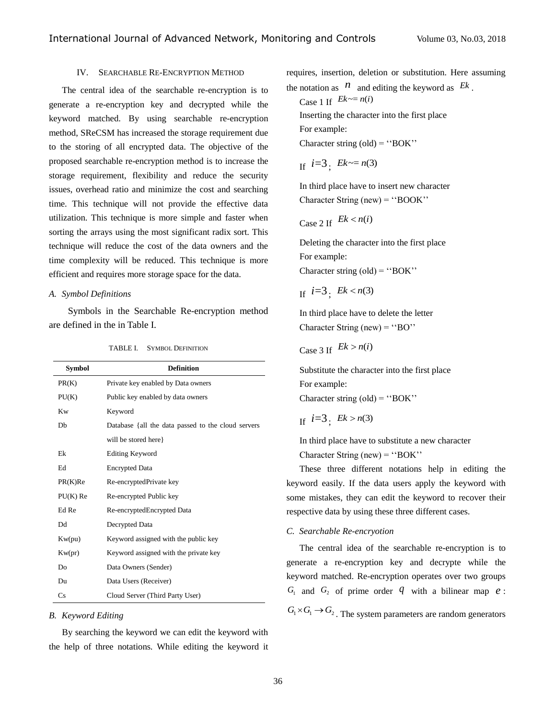# IV. SEARCHABLE RE-ENCRYPTION METHOD

The central idea of the searchable re-encryption is to generate a re-encryption key and decrypted while the keyword matched. By using searchable re-encryption method, SReCSM has increased the storage requirement due to the storing of all encrypted data. The objective of the proposed searchable re-encryption method is to increase the storage requirement, flexibility and reduce the security issues, overhead ratio and minimize the cost and searching time. This technique will not provide the effective data utilization. This technique is more simple and faster when sorting the arrays using the most significant radix sort. This technique will reduce the cost of the data owners and the time complexity will be reduced. This technique is more efficient and requires more storage space for the data.

#### *A. Symbol Definitions*

Symbols in the Searchable Re-encryption method are defined in the in Table I.

| <b>Symbol</b> | <b>Definition</b>                                  |  |
|---------------|----------------------------------------------------|--|
| PR(K)         | Private key enabled by Data owners                 |  |
| PU(K)         | Public key enabled by data owners                  |  |
| <b>Kw</b>     | Keyword                                            |  |
| Db            | Database {all the data passed to the cloud servers |  |
|               | will be stored here                                |  |
| Ek            | <b>Editing Keyword</b>                             |  |
| Ed            | <b>Encrypted Data</b>                              |  |
| PR(K)Re       | Re-encryptedPrivate key                            |  |
| $PU(K)$ Re    | Re-encrypted Public key                            |  |
| Ed Re         | Re-encryptedEncrypted Data                         |  |
| Dd            | Decrypted Data                                     |  |
| Kw(pu)        | Keyword assigned with the public key               |  |
| Kw(pr)        | Keyword assigned with the private key              |  |
| Do            | Data Owners (Sender)                               |  |
| Du            | Data Users (Receiver)                              |  |
| Cs            | Cloud Server (Third Party User)                    |  |

#### *B. Keyword Editing*

By searching the keyword we can edit the keyword with the help of three notations. While editing the keyword it requires, insertion, deletion or substitution. Here assuming the notation as  $\hat{n}$  and editing the keyword as  $E^k$ .

Case 1 If  $Ek \sim = n(i)$ Inserting the character into the first place For example: Character string  $\text{(old)} = \text{``BOK''}$ 

If 
$$
i=3
$$
;  $Ek \sim = n(3)$ 

In third place have to insert new character Character String (new) = ''BOOK''

Case 2 If 
$$
Ek < n(i)
$$

Deleting the character into the first place For example: Character string  $\text{(old)} = \text{``BOK''}$ 

$$
If \ i=3; \ Ek
$$

In third place have to delete the letter Character String (new) =  $\degree$ BO''

Case 3 If 
$$
Ek > n(i)
$$

Substitute the character into the first place For example: Character string  $\text{(old)} = \text{``BOK''}$ 

$$
If \quad i=3; \quad Ek > n(3)
$$

In third place have to substitute a new character Character String (new) = ''BOK''

These three different notations help in editing the keyword easily. If the data users apply the keyword with some mistakes, they can edit the keyword to recover their respective data by using these three different cases.

### *C. Searchable Re-encryotion*

The central idea of the searchable re-encryption is to generate a re-encryption key and decrypte while the keyword matched. Re-encryption operates over two groups  $G_1$  and  $G_2$  of prime order  $q$  with a bilinear map  $e$ :  $G_1 \times G_1 \rightarrow G_2$ . The system parameters are random generators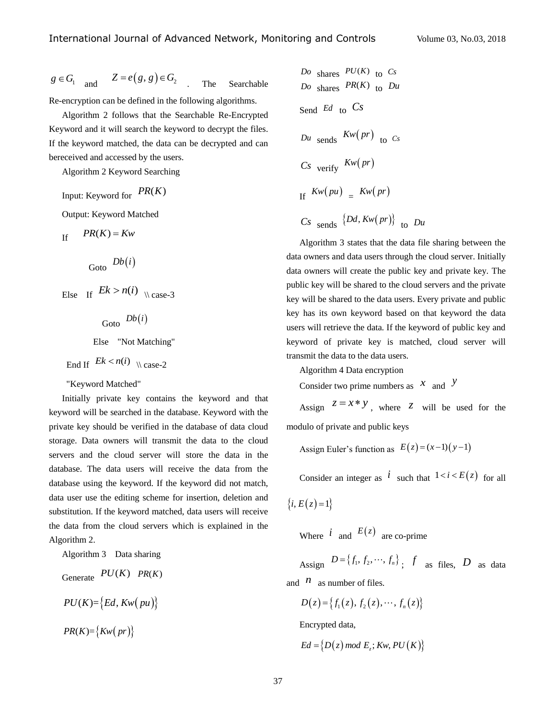$$
g \in G_1
$$
 and  $Z = e(g, g) \in G_2$ . The Searchable

Re-encryption can be defined in the following algorithms.

Algorithm 2 follows that the Searchable Re-Encrypted Keyword and it will search the keyword to decrypt the files. If the keyword matched, the data can be decrypted and can bereceived and accessed by the users.

Algorithm 2 Keyword Searching

Input: Keyword for  $PR(K)$ 

Output: Keyword Matched

If  $PR(K) = Kw$ 

Goto 
$$
Db(i)
$$

Else If  $Ek > n(i)$   $\setminus$  case-3

Goto  $Db(i)$ Else "Not Matching"

$$
End \tIf \tEk < n(i) \t| case-2
$$

#### "Keyword Matched"

Initially private key contains the keyword and that keyword will be searched in the database. Keyword with the private key should be verified in the database of data cloud storage. Data owners will transmit the data to the cloud servers and the cloud server will store the data in the database. The data users will receive the data from the database using the keyword. If the keyword did not match, data user use the editing scheme for insertion, deletion and substitution. If the keyword matched, data users will receive the data from the cloud servers which is explained in the Algorithm 2.

### Algorithm 3 Data sharing

$$
Generate \quad PU(K) \quad PR(K)
$$
\n
$$
PU(K) = \{Ed, Kw(pu)\}
$$
\n
$$
PR(K) = \{Kw(pr)\}
$$

Do shares 
$$
PU(K)
$$
 to  $Cs$ 

\nDo shares  $PR(K)$  to  $Du$ 

\nSend  $Ed$  to  $Cs$ 

\nDu sends  $Kw(pr)$  to  $Cs$ 

\nCs verify  $Kw(pr)$ 

\nIf  $Kw(pu) = Kw(pr)$ 

\nCs sends  $\{Dd, Kw(pr)\}$  to  $Du$ 

Algorithm 3 states that the data file sharing between the data owners and data users through the cloud server. Initially data owners will create the public key and private key. The public key will be shared to the cloud servers and the private key will be shared to the data users. Every private and public key has its own keyword based on that keyword the data users will retrieve the data. If the keyword of public key and keyword of private key is matched, cloud server will transmit the data to the data users.

Algorithm 4 Data encryption

Consider two prime numbers as  $x$  and  $y$ 

Assign  $z = x * y$ , where z will be used for the modulo of private and public keys

Assign Euler's function as  $E(z) = (x-1)(y-1)$ 

Consider an integer as  $i$  such that  $1 < i < E(z)$  for all

 ${i, E(z)=1}$ 

Where  $i$  and  $E(z)$  are co-prime

Assign  $D = \{f_1, f_2, \dots, f_n\}$ ; f as files, D as data and  $\hat{n}$  as number of files.

 $D(z) = \{f_1(z), f_2(z), \dots, f_n(z)\}\$ 

Encrypted data,

$$
Ed = \{D(z) \mod E_z; Kw, PU(K)\}
$$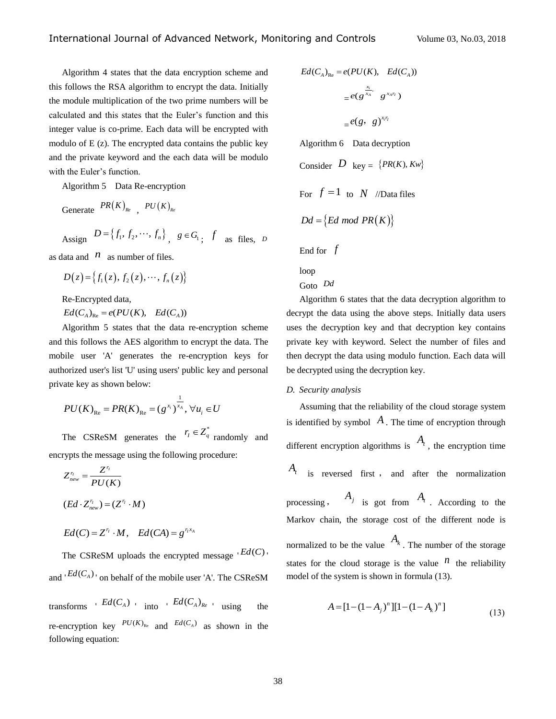Algorithm 4 states that the data encryption scheme and this follows the RSA algorithm to encrypt the data. Initially the module multiplication of the two prime numbers will be calculated and this states that the Euler's function and this integer value is co-prime. Each data will be encrypted with modulo of E (z). The encrypted data contains the public key and the private keyword and the each data will be modulo with the Euler's function.

Algorithm 5 Data Re-encryption

Generate  $PR(K)_{Re}$ ,  $PU(K)_{Re}$ Assign  $D = \{f_1, f_2, \dots, f_n\}$ ,  $g \in G_1$ ;  $f$  as files, *D* 

as data and  $\pi$  as number of files.

$$
D(z) = \{f_1(z), f_2(z), \cdots, f_n(z)\}
$$

Re-Encrypted data,

 $\mathcal{R}e$ -Encrypted data,<br> $\mathcal{E}d(C_A)_{\text{Re}} = e(PU(K), \text{ } \text{Ed}(C_A))$ 

Algorithm 5 states that the data re-encryption scheme and this follows the AES algorithm to encrypt the data. The mobile user 'A' generates the re-encryption keys for authorized user's list 'U' using users' public key and personal private key as shown below:

$$
PU(K)_{Re} = PR(K)_{Re} = (g^{x_i})^{\frac{1}{x_A}}, \forall u_i \in U
$$

The CSReSM generates the  $r_i \in Z^*_{q}$  randomly and encrypts the message using the following procedure:

$$
Z_{new}^{r_1} = \frac{Z^{r_1}}{PU(K)}
$$
  
(Ed · Z\_{new}^{r\_1}) = (Z^{r\_1} · M)  
Ed(C) = Z^{r\_1} · M, Ed(CA) = g^{r\_1x\_A}

The CSReSM uploads the encrypted message  $E(d(C))$ and  ${}^{\dagger}Ed(C_A)$  on behalf of the mobile user 'A'. The CSReSM

transforms  $Ed(C_A)$  into  $Ed(C_A)_{Re}$  using the re-encryption key  $P U(K)_{\text{Re}}$  and  $E d(C_A)$  as shown in the following equation:

$$
Ed(C_A)_{Re} = e(PU(K), Ed(C_A))
$$
  
=  $e(g^{\frac{x_i}{x_A}} g^{x_A r_i})$   
=  $e(g, g)^{x_i r_i}$   
Algorithm 6 Data decryption  
Consider  $D$  key = {PR(K), Kw}

For  $f = 1$  to  $N$  //Data files

be decrypted using the decryption key.

$$
Dd = \{Ed \ mod \ PR(K)\}
$$

End for *f*

loop

Goto *Dd* Algorithm 6 states that the data decryption algorithm to decrypt the data using the above steps. Initially data users uses the decryption key and that decryption key contains private key with keyword. Select the number of files and then decrypt the data using modulo function. Each data will

### *D. Security analysis*

Assuming that the reliability of the cloud storage system is identified by symbol  $A$ . The time of encryption through different encryption algorithms is  $A_t$ , the encryption time *At* is reversed first , and after the normalization processing,  $A_j$  is got from  $A_t$ . According to the Markov chain, the storage cost of the different node is normalized to be the value  $A_k$ . The number of the storage states for the cloud storage is the value  $n$  the reliability model of the system is shown in formula (13).

$$
A = [1 - (1 - A_j)^n][1 - (1 - A_k)^n]
$$
\n(13)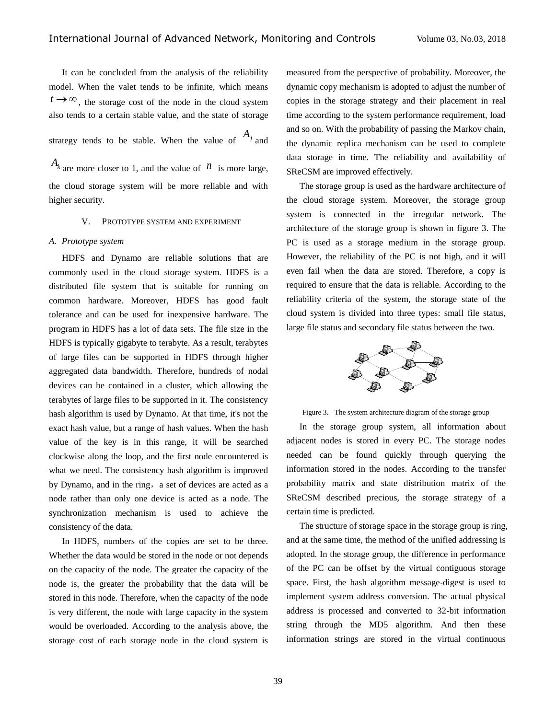It can be concluded from the analysis of the reliability model. When the valet tends to be infinite, which means  $t \rightarrow \infty$ , the storage cost of the node in the cloud system also tends to a certain stable value, and the state of storage

strategy tends to be stable. When the value of  $A_j$  and

 $A_k$  are more closer to 1, and the value of  $n$  is more large, the cloud storage system will be more reliable and with higher security.

### V. PROTOTYPE SYSTEM AND EXPERIMENT

### *A. Prototype system*

HDFS and Dynamo are reliable solutions that are commonly used in the cloud storage system. HDFS is a distributed file system that is suitable for running on common hardware. Moreover, HDFS has good fault tolerance and can be used for inexpensive hardware. The program in HDFS has a lot of data sets. The file size in the HDFS is typically gigabyte to terabyte. As a result, terabytes of large files can be supported in HDFS through higher aggregated data bandwidth. Therefore, hundreds of nodal devices can be contained in a cluster, which allowing the terabytes of large files to be supported in it. The consistency hash algorithm is used by Dynamo. At that time, it's not the exact hash value, but a range of hash values. When the hash value of the key is in this range, it will be searched clockwise along the loop, and the first node encountered is what we need. The consistency hash algorithm is improved by Dynamo, and in the ring, a set of devices are acted as a node rather than only one device is acted as a node. The synchronization mechanism is used to achieve the consistency of the data.

In HDFS, numbers of the copies are set to be three. Whether the data would be stored in the node or not depends on the capacity of the node. The greater the capacity of the node is, the greater the probability that the data will be stored in this node. Therefore, when the capacity of the node is very different, the node with large capacity in the system would be overloaded. According to the analysis above, the storage cost of each storage node in the cloud system is measured from the perspective of probability. Moreover, the dynamic copy mechanism is adopted to adjust the number of copies in the storage strategy and their placement in real time according to the system performance requirement, load and so on. With the probability of passing the Markov chain, the dynamic replica mechanism can be used to complete data storage in time. The reliability and availability of SReCSM are improved effectively.

The storage group is used as the hardware architecture of the cloud storage system. Moreover, the storage group system is connected in the irregular network. The architecture of the storage group is shown in figure 3. The PC is used as a storage medium in the storage group. However, the reliability of the PC is not high, and it will even fail when the data are stored. Therefore, a copy is required to ensure that the data is reliable. According to the reliability criteria of the system, the storage state of the cloud system is divided into three types: small file status, large file status and secondary file status between the two.



Figure 3. The system architecture diagram of the storage group

In the storage group system, all information about adjacent nodes is stored in every PC. The storage nodes needed can be found quickly through querying the information stored in the nodes. According to the transfer probability matrix and state distribution matrix of the SReCSM described precious, the storage strategy of a certain time is predicted.

The structure of storage space in the storage group is ring, and at the same time, the method of the unified addressing is adopted. In the storage group, the difference in performance of the PC can be offset by the virtual contiguous storage space. First, the hash algorithm message-digest is used to implement system address conversion. The actual physical address is processed and converted to 32-bit information string through the MD5 algorithm. And then these information strings are stored in the virtual continuous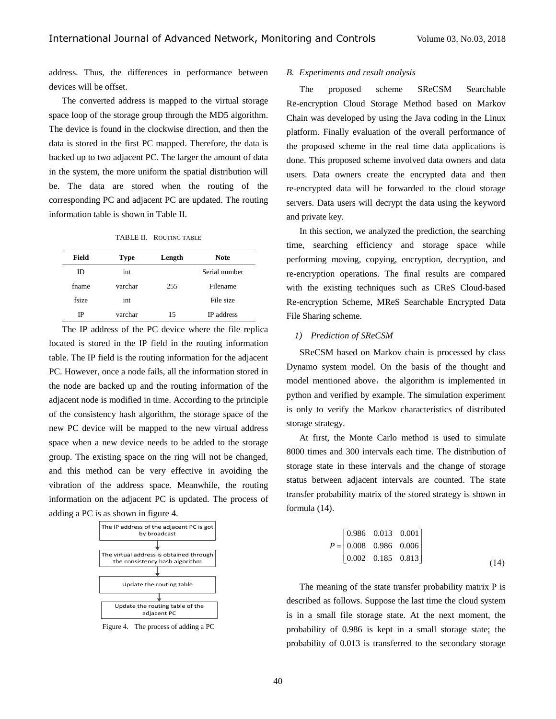address. Thus, the differences in performance between devices will be offset.

The converted address is mapped to the virtual storage space loop of the storage group through the MD5 algorithm. The device is found in the clockwise direction, and then the data is stored in the first PC mapped. Therefore, the data is backed up to two adjacent PC. The larger the amount of data in the system, the more uniform the spatial distribution will be. The data are stored when the routing of the corresponding PC and adjacent PC are updated. The routing information table is shown in Table II.

TABLE II. ROUTING TABLE

| Field | <b>Type</b> | Length | <b>Note</b>       |
|-------|-------------|--------|-------------------|
| ID    | int         |        | Serial number     |
| fname | varchar     | 255    | Filename          |
| fsize | int         |        | File size         |
| IP    | varchar     | 15     | <b>IP</b> address |

The IP address of the PC device where the file replica located is stored in the IP field in the routing information table. The IP field is the routing information for the adjacent PC. However, once a node fails, all the information stored in the node are backed up and the routing information of the adjacent node is modified in time. According to the principle of the consistency hash algorithm, the storage space of the new PC device will be mapped to the new virtual address space when a new device needs to be added to the storage group. The existing space on the ring will not be changed, and this method can be very effective in avoiding the vibration of the address space. Meanwhile, the routing information on the adjacent PC is updated. The process of adding a PC is as shown in figure 4.



Figure 4. The process of adding a PC

#### *B. Experiments and result analysis*

The proposed scheme SReCSM Searchable Re-encryption Cloud Storage Method based on Markov Chain was developed by using the Java coding in the Linux platform. Finally evaluation of the overall performance of the proposed scheme in the real time data applications is done. This proposed scheme involved data owners and data users. Data owners create the encrypted data and then re-encrypted data will be forwarded to the cloud storage servers. Data users will decrypt the data using the keyword and private key.

In this section, we analyzed the prediction, the searching time, searching efficiency and storage space while performing moving, copying, encryption, decryption, and re-encryption operations. The final results are compared with the existing techniques such as CReS Cloud-based Re-encryption Scheme, MReS Searchable Encrypted Data File Sharing scheme.

# *1) Prediction of SReCSM*

SReCSM based on Markov chain is processed by class Dynamo system model. On the basis of the thought and model mentioned above, the algorithm is implemented in python and verified by example. The simulation experiment is only to verify the Markov characteristics of distributed storage strategy.

At first, the Monte Carlo method is used to simulate 8000 times and 300 intervals each time. The distribution of storage state in these intervals and the change of storage status between adjacent intervals are counted. The state transfer probability matrix of the stored strategy is shown in formula (14).

$$
P = \begin{bmatrix} 0.986 & 0.013 & 0.001 \\ 0.008 & 0.986 & 0.006 \\ 0.002 & 0.185 & 0.813 \end{bmatrix}
$$
 (14)

The meaning of the state transfer probability matrix P is described as follows. Suppose the last time the cloud system is in a small file storage state. At the next moment, the probability of 0.986 is kept in a small storage state; the probability of 0.013 is transferred to the secondary storage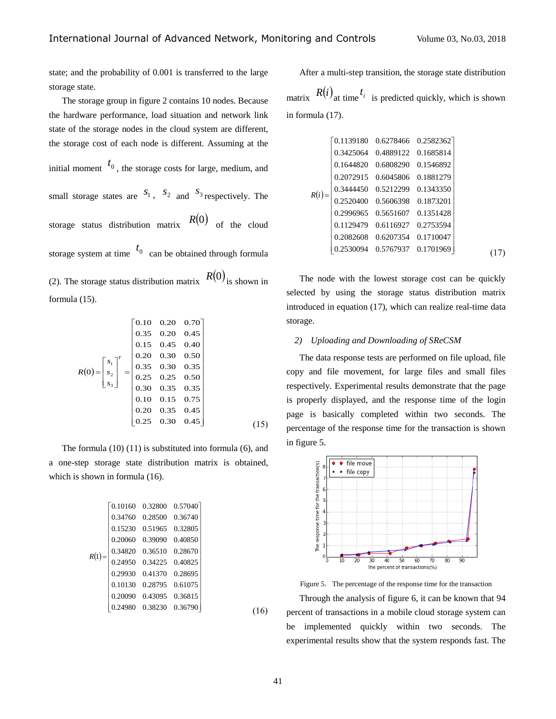state; and the probability of 0.001 is transferred to the large storage state.

The storage group in figure 2 contains 10 nodes. Because the hardware performance, load situation and network link state of the storage nodes in the cloud system are different, the storage cost of each node is different. Assuming at the initial moment  $t_0$ , the storage costs for large, medium, and small storage states are  $S_1$ ,  $S_2$  and  $S_3$  respectively. The storage status distribution matrix  $R(0)$  of the cloud storage system at time  $t_0$  can be obtained through formula (2). The storage status distribution matrix  $R(0)$  is shown in formula (15).

$$
R(0) = \begin{bmatrix} s_1 \\ s_2 \\ s_3 \end{bmatrix}^T = \begin{bmatrix} 0.10 & 0.20 & 0.70 \\ 0.35 & 0.20 & 0.45 \\ 0.15 & 0.45 & 0.40 \\ 0.20 & 0.30 & 0.50 \\ 0.35 & 0.30 & 0.35 \\ 0.25 & 0.25 & 0.50 \\ 0.30 & 0.35 & 0.35 \\ 0.10 & 0.15 & 0.75 \\ 0.20 & 0.35 & 0.45 \\ 0.25 & 0.30 & 0.45 \end{bmatrix}
$$
(15)

The formula (10) (11) is substituted into formula (6), and a one-step storage state distribution matrix is obtained, which is shown in formula (16).

$$
R(1) = \begin{bmatrix} 0.10160 & 0.32800 & 0.57040 \\ 0.34760 & 0.28500 & 0.36740 \\ 0.15230 & 0.51965 & 0.32805 \\ 0.20060 & 0.39090 & 0.40850 \\ 0.34820 & 0.36510 & 0.28670 \\ 0.24950 & 0.34225 & 0.40825 \\ 0.29930 & 0.41370 & 0.28695 \\ 0.10130 & 0.28795 & 0.61075 \\ 0.20090 & 0.43095 & 0.36815 \\ 0.24980 & 0.38230 & 0.36790 \end{bmatrix}
$$

After a multi-step transition, the storage state distribution matrix  $R(i)$ <sub>at time</sub>  $t_i$  is predicted quickly, which is shown in formula (17).

$$
R(i)=\begin{bmatrix} 0.1139180 & 0.6278466 & 0.2582362\\ 0.3425064 & 0.4889122 & 0.1685814\\ 0.1644820 & 0.6808290 & 0.1546892\\ 0.2072915 & 0.6045806 & 0.1881279\\ 0.3444450 & 0.5212299 & 0.1343350\\ 0.2520400 & 0.5606398 & 0.1873201\\ 0.2996965 & 0.5651607 & 0.1351428\\ 0.1129479 & 0.6116927 & 0.2753594\\ 0.2082608 & 0.6207354 & 0.1710047\\ 0.2530094 & 0.5767937 & 0.1701969 \end{bmatrix} (17)
$$

The node with the lowest storage cost can be quickly selected by using the storage status distribution matrix introduced in equation (17), which can realize real-time data storage.

### *2) Uploading and Downloading of SReCSM*

The data response tests are performed on file upload, file copy and file movement, for large files and small files respectively. Experimental results demonstrate that the page is properly displayed, and the response time of the login page is basically completed within two seconds. The percentage of the response time for the transaction is shown in figure 5.



Figure 5. The percentage of the response time for the transaction Through the analysis of figure 6, it can be known that 94 percent of transactions in a mobile cloud storage system can be implemented quickly within two seconds. The experimental results show that the system responds fast. The

 $(16)$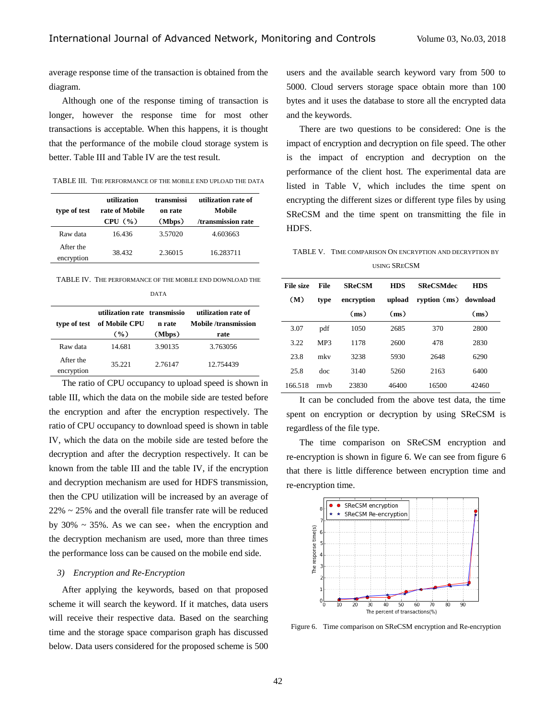average response time of the transaction is obtained from the diagram.

Although one of the response timing of transaction is longer, however the response time for most other transactions is acceptable. When this happens, it is thought that the performance of the mobile cloud storage system is better. Table III and Table IV are the test result.

| TABLE III. THE PERFORMANCE OF THE MOBILE END UPLOAD THE DATA |
|--------------------------------------------------------------|
|                                                              |

| type of test            | utilization<br>rate of Mobile<br>CPU $(\% )$ | transmissi<br>on rate<br>(Mbps) | utilization rate of<br>Mobile<br>/transmission rate |
|-------------------------|----------------------------------------------|---------------------------------|-----------------------------------------------------|
| Raw data                | 16.436                                       | 3.57020                         | 4.603663                                            |
| After the<br>encryption | 38.432                                       | 2.36015                         | 16.283711                                           |

TABLE IV. THE PERFORMANCE OF THE MOBILE END DOWNLOAD THE

| type of test            | utilization rate transmissio<br>of Mobile CPU<br>$($ %) | n rate<br>(Mbps) | utilization rate of<br><b>Mobile</b> /transmission<br>rate |
|-------------------------|---------------------------------------------------------|------------------|------------------------------------------------------------|
| Raw data                | 14.681                                                  | 3.90135          | 3.763056                                                   |
| After the<br>encryption | 35.221                                                  | 2.76147          | 12.754439                                                  |

The ratio of CPU occupancy to upload speed is shown in table III, which the data on the mobile side are tested before the encryption and after the encryption respectively. The ratio of CPU occupancy to download speed is shown in table IV, which the data on the mobile side are tested before the decryption and after the decryption respectively. It can be known from the table III and the table IV, if the encryption and decryption mechanism are used for HDFS transmission, then the CPU utilization will be increased by an average of  $22\% \sim 25\%$  and the overall file transfer rate will be reduced by  $30\% \sim 35\%$ . As we can see, when the encryption and the decryption mechanism are used, more than three times the performance loss can be caused on the mobile end side.

### *3) Encryption and Re-Encryption*

After applying the keywords, based on that proposed scheme it will search the keyword. If it matches, data users will receive their respective data. Based on the searching time and the storage space comparison graph has discussed below. Data users considered for the proposed scheme is 500 users and the available search keyword vary from 500 to 5000. Cloud servers storage space obtain more than 100 bytes and it uses the database to store all the encrypted data and the keywords.

There are two questions to be considered: One is the impact of encryption and decryption on file speed. The other is the impact of encryption and decryption on the performance of the client host. The experimental data are listed in Table V, which includes the time spent on encrypting the different sizes or different type files by using SReCSM and the time spent on transmitting the file in HDFS.

TABLE V. TIME COMPARISON ON ENCRYPTION AND DECRYPTION BY USING SRECSM

| <b>File size</b> | File | <b>SReCSM</b> | <b>HDS</b> | <b>SReCSMdec</b>      | <b>HDS</b> |
|------------------|------|---------------|------------|-----------------------|------------|
| (M)              | type | encryption    | upload     | ryption (ms) download |            |
|                  |      | (ms)          | (ms)       |                       | (ms)       |
| 3.07             | pdf  | 1050          | 2685       | 370                   | 2800       |
| 3.22             | MP3  | 1178          | 2600       | 478                   | 2830       |
| 23.8             | mky  | 3238          | 5930       | 2648                  | 6290       |
| 25.8             | doc  | 3140          | 5260       | 2163                  | 6400       |
| 166.518          | rmvh | 23830         | 46400      | 16500                 | 42460      |

It can be concluded from the above test data, the time spent on encryption or decryption by using SReCSM is regardless of the file type.

The time comparison on SReCSM encryption and re-encryption is shown in figure 6. We can see from figure 6 that there is little difference between encryption time and re-encryption time.



Figure 6. Time comparison on SReCSM encryption and Re-encryption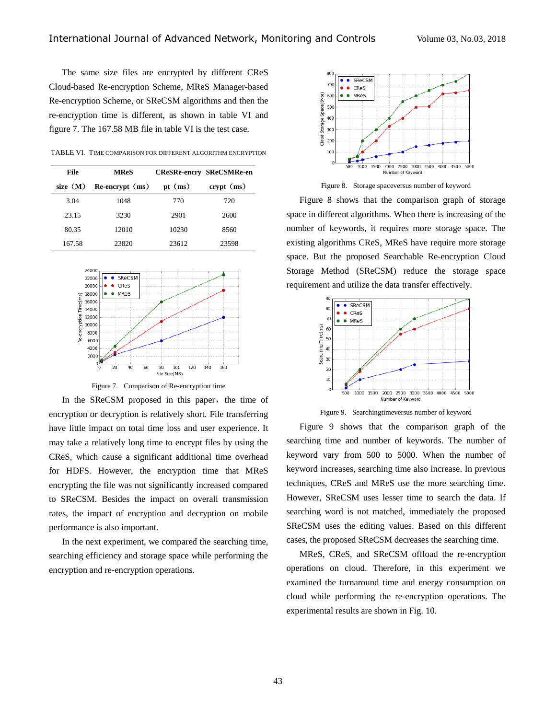The same size files are encrypted by different CReS Cloud-based Re-encryption Scheme, MReS Manager-based Re-encryption Scheme, or SReCSM algorithms and then the re-encryption time is different, as shown in table VI and figure 7. The 167.58 MB file in table VI is the test case.

TABLE VI. TIME COMPARISON FOR DIFFERENT ALGORITHM ENCRYPTION

| File       | <b>MReS</b>              |           | <b>CReSRe-encry SReCSMRe-en</b> |  |
|------------|--------------------------|-----------|---------------------------------|--|
| size $(M)$ | $Re\text{-}encrypt$ (ms) | pt $(ms)$ | $crvpt$ (ms)                    |  |
| 3.04       | 1048                     | 770       | 720                             |  |
| 23.15      | 3230                     | 2901      | 2600                            |  |
| 80.35      | 12010                    | 10230     | 8560                            |  |
| 167.58     | 23820                    | 23612     | 23598                           |  |



Figure 7. Comparison of Re-encryption time

In the SReCSM proposed in this paper, the time of encryption or decryption is relatively short. File transferring have little impact on total time loss and user experience. It may take a relatively long time to encrypt files by using the CReS, which cause a significant additional time overhead for HDFS. However, the encryption time that MReS encrypting the file was not significantly increased compared to SReCSM. Besides the impact on overall transmission rates, the impact of encryption and decryption on mobile performance is also important.

In the next experiment, we compared the searching time, searching efficiency and storage space while performing the encryption and re-encryption operations.



Figure 8. Storage spaceversus number of keyword

Figure 8 shows that the comparison graph of storage space in different algorithms. When there is increasing of the number of keywords, it requires more storage space. The existing algorithms CReS, MReS have require more storage space. But the proposed Searchable Re-encryption Cloud Storage Method (SReCSM) reduce the storage space requirement and utilize the data transfer effectively.



Figure 9. Searchingtimeversus number of keyword

Figure 9 shows that the comparison graph of the searching time and number of keywords. The number of keyword vary from 500 to 5000. When the number of keyword increases, searching time also increase. In previous techniques, CReS and MReS use the more searching time. However, SReCSM uses lesser time to search the data. If searching word is not matched, immediately the proposed SReCSM uses the editing values. Based on this different cases, the proposed SReCSM decreases the searching time.

MReS, CReS, and SReCSM offload the re-encryption operations on cloud. Therefore, in this experiment we examined the turnaround time and energy consumption on cloud while performing the re-encryption operations. The experimental results are shown in Fig. 10.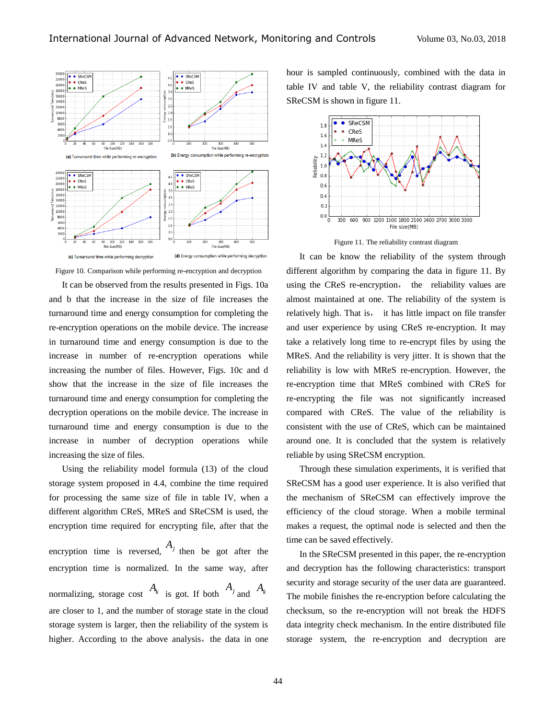

Figure 10. Comparison while performing re-encryption and decryption

It can be observed from the results presented in Figs. 10a and b that the increase in the size of file increases the turnaround time and energy consumption for completing the re-encryption operations on the mobile device. The increase in turnaround time and energy consumption is due to the increase in number of re-encryption operations while increasing the number of files. However, Figs. 10c and d show that the increase in the size of file increases the turnaround time and energy consumption for completing the decryption operations on the mobile device. The increase in turnaround time and energy consumption is due to the increase in number of decryption operations while increasing the size of files.

Using the reliability model formula (13) of the cloud storage system proposed in 4.4, combine the time required for processing the same size of file in table IV, when a different algorithm CReS, MReS and SReCSM is used, the encryption time required for encrypting file, after that the encryption time is reversed,  $A_j$  then be got after the encryption time is normalized. In the same way, after

normalizing, storage cost  $A_k$  is got. If both  $A_j$  and  $A_k$ are closer to 1, and the number of storage state in the cloud storage system is larger, then the reliability of the system is higher. According to the above analysis, the data in one hour is sampled continuously, combined with the data in table IV and table V, the reliability contrast diagram for SReCSM is shown in figure 11.



Figure 11. The reliability contrast diagram

It can be know the reliability of the system through different algorithm by comparing the data in figure 11. By using the CReS re-encryption, the reliability values are almost maintained at one. The reliability of the system is relatively high. That is, it has little impact on file transfer and user experience by using CReS re-encryption. It may take a relatively long time to re-encrypt files by using the MReS. And the reliability is very jitter. It is shown that the reliability is low with MReS re-encryption. However, the re-encryption time that MReS combined with CReS for re-encrypting the file was not significantly increased compared with CReS. The value of the reliability is consistent with the use of CReS, which can be maintained around one. It is concluded that the system is relatively reliable by using SReCSM encryption.

Through these simulation experiments, it is verified that SReCSM has a good user experience. It is also verified that the mechanism of SReCSM can effectively improve the efficiency of the cloud storage. When a mobile terminal makes a request, the optimal node is selected and then the time can be saved effectively.

In the SReCSM presented in this paper, the re-encryption and decryption has the following characteristics: transport security and storage security of the user data are guaranteed. The mobile finishes the re-encryption before calculating the checksum, so the re-encryption will not break the HDFS data integrity check mechanism. In the entire distributed file storage system, the re-encryption and decryption are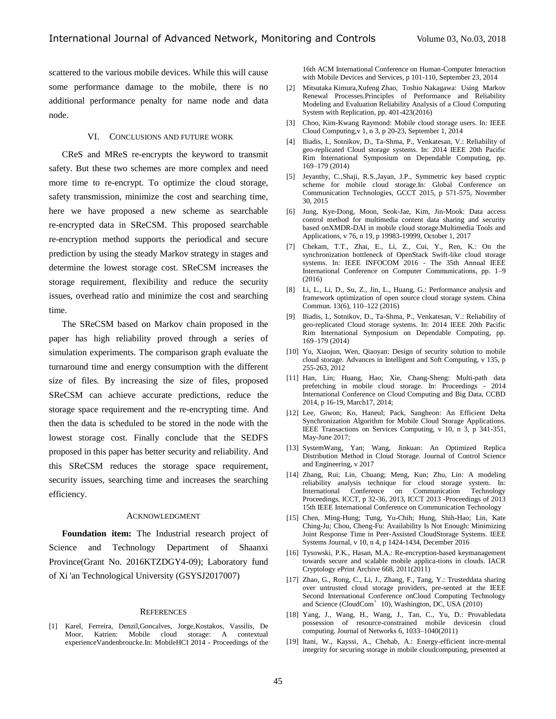scattered to the various mobile devices. While this will cause some performance damage to the mobile, there is no additional performance penalty for name node and data node.

### VI. CONCLUSIONS AND FUTURE WORK

CReS and MReS re-encrypts the keyword to transmit safety. But these two schemes are more complex and need more time to re-encrypt. To optimize the cloud storage, safety transmission, minimize the cost and searching time, here we have proposed a new scheme as searchable re-encrypted data in SReCSM. This proposed searchable re-encryption method supports the periodical and secure prediction by using the steady Markov strategy in stages and determine the lowest storage cost. SReCSM increases the storage requirement, flexibility and reduce the security issues, overhead ratio and minimize the cost and searching time.

The SReCSM based on Markov chain proposed in the paper has high reliability proved through a series of simulation experiments. The comparison graph evaluate the turnaround time and energy consumption with the different size of files. By increasing the size of files, proposed SReCSM can achieve accurate predictions, reduce the storage space requirement and the re-encrypting time. And then the data is scheduled to be stored in the node with the lowest storage cost. Finally conclude that the SEDFS proposed in this paper has better security and reliability. And this SReCSM reduces the storage space requirement, security issues, searching time and increases the searching efficiency.

### ACKNOWLEDGMENT

**Foundation item:** The Industrial research project of Science and Technology Department of Shaanxi Province(Grant No. 2016KTZDGY4-09); Laboratory fund of Xi 'an Technological University (GSYSJ2017007)

#### **REFERENCES**

[1] Karel, Ferreira, Denzil,Goncalves, Jorge,Kostakos, Vassilis, De Moor, Katrien: Mobile cloud storage: A contextual experienceVandenbroucke.In: MobileHCI 2014 - Proceedings of the

16th ACM International Conference on Human-Computer Interaction with Mobile Devices and Services, p 101-110, September 23, 2014

- [2] Mitsutaka Kimur[a,X](mailto:kimura@gifu-cwc.ac.jp)ufeng Zhao, Toshio Nakagawa: Using Markov Renewal Processes[.Principles of Performance and Reliability](http://h-s.link.springer.com.lib-ycfw.xatu.edu.cn/book/10.1007/978-3-319-30599-8)  [Modeling and Evaluation](http://h-s.link.springer.com.lib-ycfw.xatu.edu.cn/book/10.1007/978-3-319-30599-8) Reliability Analysis of a Cloud Computing System with Replication, pp. 401-423(2016)
- [3] Choo, Kim-Kwang Raymond: Mobile cloud storage users. In: IEEE Cloud Computing,v 1, n 3, p 20-23, September 1, 2014
- [4] Iliadis, I., Sotnikov, D., Ta-Shma, P., Venkatesan, V.: Reliability of geo-replicated Cloud storage systems. In: 2014 IEEE 20th Pacific Rim International Symposium on Dependable Computing, pp. 169–179 (2014)
- [5] Jeyanthy, C.,Shaji, R.S.,Jayan, J.P., Symmetric key based cryptic scheme for mobile cloud storage.In: Global Conference on Communication Technologies, GCCT 2015, p 571-575, November 30, 2015
- [6] Jung, Kye-Dong, Moon, Seok-Jae, Kim, Jin-Mook: Data access control method for multimedia content data sharing and security based onXMDR-DAI in mobile cloud storage.Multimedia Tools and Applications, v 76, n 19, p 19983-19999, October 1, 2017
- [7] Chekam, T.T., Zhai, E., Li, Z., Cui, Y., Ren, K.: On the synchronization bottleneck of OpenStack Swift-like cloud storage systems. In: IEEE INFOCOM 2016 - The 35th Annual IEEE International Conference on Computer Communications, pp. 1–9 (2016)
- [8] Li, L., Li, D., Su, Z., Jin, L., Huang, G.: Performance analysis and framework optimization of open source cloud storage system. China Commun. 13(6), 110–122 (2016)
- [9] Iliadis, I., Sotnikov, D., Ta-Shma, P., Venkatesan, V.: Reliability of geo-replicated Cloud storage systems. In: 2014 IEEE 20th Pacific Rim International Symposium on Dependable Computing, pp. 169–179 (2014)
- [10] Yu, Xiaojun, Wen, Qiaoyan: Design of security solution to mobile cloud storage. Advances in Intelligent and Soft Computing, v 135, p 255-263, 2012
- [11] Han, Lin; Huang, Hao; Xie, Chang-Sheng: Multi-path data prefetching in mobile cloud storage. In: Proceedings - 2014 International Conference on Cloud Computing and Big Data, CCBD 2014, p 16-19, March17, 2014;
- [12] Lee, Giwon; Ko, Haneul; Pack, Sangheon: An Efficient Delta Synchronization Algorithm for Mobile Cloud Storage Applications. IEEE Transactions on Services Computing, v 10, n 3, p 341-351, May-June 2017;
- [13] SystemWang, Yan; Wang, Jinkuan: An Optimized Replica Distribution Method in Cloud Storage. Journal of Control Science and Engineering, v 2017
- [14] Zhang, Rui; Lin, Chuang; Meng, Kun; Zhu, Lin: A modeling reliability analysis technique for cloud storage system. In: International Conference on Communication Proceedings, ICCT, p 32-36, 2013, ICCT 2013 -Proceedings of 2013 15th IEEE International Conference on Communication Technology
- [15] Chen, Ming-Hung; Tung, Yu-Chih; Hung, Shih-Hao; Lin, Kate Ching-Ju; Chou, Cheng-Fu: Availability Is Not Enough: Minimizing Joint Response Time in Peer-Assisted CloudStorage Systems. IEEE Systems Journal, v 10, n 4, p 1424-1434, December 2016
- [16] Tysowski, P.K., Hasan, M.A.: Re-encryption-based keymanagement towards secure and scalable mobile applica-tions in clouds. IACR Cryptology ePrint Archive 668, 2011(2011)
- [17] Zhao, G., Rong, C., Li, J., Zhang, F., Tang, Y.: Trusteddata sharing over untrusted cloud storage providers, pre-sented at the IEEE Second International Conference onCloud Computing Technology and Science (CloudCom' 10), Washington, DC, USA (2010)
- [18] Yang, J., Wang, H., Wang, J., Tan, C., Yu, D.: Provabledata possession of resource-constrained mobile devicesin cloud computing. Journal of Networks 6, 1033–1040(2011)
- [19] Itani, W., Kayssi, A., Chehab, A.: Energy-efficient incre-mental integrity for securing storage in mobile cloudcomputing, presented at